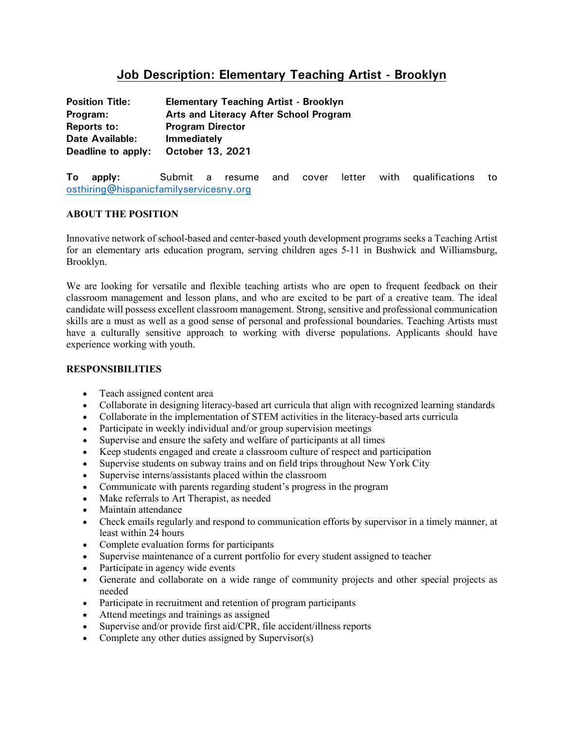# **Job Description: Elementary Teaching Artist - Brooklyn**

| <b>Position Title:</b> | <b>Elementary Teaching Artist - Brooklyn</b> |
|------------------------|----------------------------------------------|
| Program:               | Arts and Literacy After School Program       |
| <b>Reports to:</b>     | <b>Program Director</b>                      |
| <b>Date Available:</b> | <b>Immediately</b>                           |
| Deadline to apply:     | October 13, 2021                             |

**To apply:** Submit a resume and cover letter with qualifications to [osthiring@hispanicfamilyservicesny.org](mailto:osthiring@hispanicfamilyservicesny.org)

# **ABOUT THE POSITION**

Innovative network of school-based and center-based youth development programs seeks a Teaching Artist for an elementary arts education program, serving children ages 5-11 in Bushwick and Williamsburg, Brooklyn.

We are looking for versatile and flexible teaching artists who are open to frequent feedback on their classroom management and lesson plans, and who are excited to be part of a creative team. The ideal candidate will possess excellent classroom management. Strong, sensitive and professional communication skills are a must as well as a good sense of personal and professional boundaries. Teaching Artists must have a culturally sensitive approach to working with diverse populations. Applicants should have experience working with youth.

### **RESPONSIBILITIES**

- Teach assigned content area
- Collaborate in designing literacy-based art curricula that align with recognized learning standards
- Collaborate in the implementation of STEM activities in the literacy-based arts curricula
- Participate in weekly individual and/or group supervision meetings
- Supervise and ensure the safety and welfare of participants at all times
- Keep students engaged and create a classroom culture of respect and participation
- Supervise students on subway trains and on field trips throughout New York City
- Supervise interns/assistants placed within the classroom
- Communicate with parents regarding student's progress in the program
- Make referrals to Art Therapist, as needed
- Maintain attendance
- Check emails regularly and respond to communication efforts by supervisor in a timely manner, at least within 24 hours
- Complete evaluation forms for participants
- Supervise maintenance of a current portfolio for every student assigned to teacher
- Participate in agency wide events
- Generate and collaborate on a wide range of community projects and other special projects as needed
- Participate in recruitment and retention of program participants
- Attend meetings and trainings as assigned
- Supervise and/or provide first aid/CPR, file accident/illness reports
- Complete any other duties assigned by Supervisor(s)